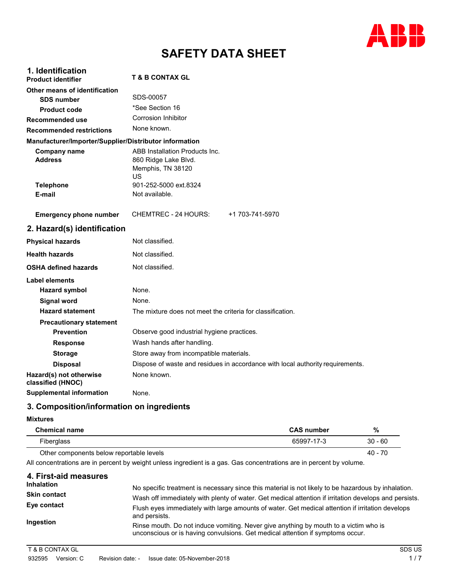

# **SAFETY DATA SHEET**

| 1. Identification<br><b>Product identifier</b>         | <b>T &amp; B CONTAX GL</b>                                                        |
|--------------------------------------------------------|-----------------------------------------------------------------------------------|
| Other means of identification                          |                                                                                   |
| <b>SDS number</b>                                      | SDS-00057                                                                         |
| <b>Product code</b>                                    | *See Section 16                                                                   |
| Recommended use                                        | <b>Corrosion Inhibitor</b>                                                        |
| <b>Recommended restrictions</b>                        | None known.                                                                       |
| Manufacturer/Importer/Supplier/Distributor information |                                                                                   |
| <b>Company name</b><br><b>Address</b>                  | ABB Installation Products Inc.<br>860 Ridge Lake Blvd.<br>Memphis, TN 38120<br>US |
| <b>Telephone</b>                                       | 901-252-5000 ext.8324                                                             |
| E-mail                                                 | Not available.                                                                    |
| <b>Emergency phone number</b>                          | <b>CHEMTREC - 24 HOURS:</b><br>+1 703-741-5970                                    |
| 2. Hazard(s) identification                            |                                                                                   |
| <b>Physical hazards</b>                                | Not classified.                                                                   |
| <b>Health hazards</b>                                  | Not classified.                                                                   |
| <b>OSHA defined hazards</b>                            | Not classified.                                                                   |
| Label elements                                         |                                                                                   |
| <b>Hazard symbol</b>                                   | None.                                                                             |
| <b>Signal word</b>                                     | None.                                                                             |
| <b>Hazard statement</b>                                | The mixture does not meet the criteria for classification.                        |
| <b>Precautionary statement</b>                         |                                                                                   |
| <b>Prevention</b>                                      | Observe good industrial hygiene practices.                                        |
| <b>Response</b>                                        | Wash hands after handling.                                                        |
| <b>Storage</b>                                         | Store away from incompatible materials.                                           |
| <b>Disposal</b>                                        | Dispose of waste and residues in accordance with local authority requirements.    |
| Hazard(s) not otherwise<br>classified (HNOC)           | None known.                                                                       |
| <b>Supplemental information</b>                        | None.                                                                             |

# **3. Composition/information on ingredients**

### **Mixtures**

| <b>Chemical name</b>                     | <b>CAS number</b> | %         |
|------------------------------------------|-------------------|-----------|
| Fiberglass                               | 65997-17-3        | $30 - 60$ |
| Other components below reportable levels |                   | 40 - 70   |

All concentrations are in percent by weight unless ingredient is a gas. Gas concentrations are in percent by volume.

| 4. First-aid measures |                                                                                                                                                                        |
|-----------------------|------------------------------------------------------------------------------------------------------------------------------------------------------------------------|
| <b>Inhalation</b>     | No specific treatment is necessary since this material is not likely to be hazardous by inhalation.                                                                    |
| <b>Skin contact</b>   | Wash off immediately with plenty of water. Get medical attention if irritation develops and persists.                                                                  |
| Eye contact           | Flush eyes immediately with large amounts of water. Get medical attention if irritation develops<br>and persists.                                                      |
| Ingestion             | Rinse mouth. Do not induce vomiting. Never give anything by mouth to a victim who is<br>unconscious or is having convulsions. Get medical attention if symptoms occur. |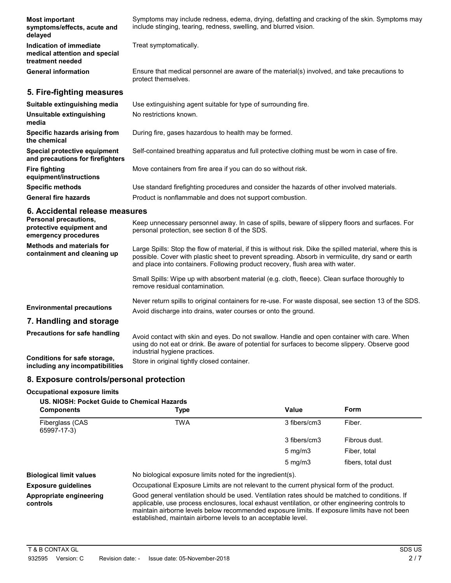| <b>Most important</b><br>symptoms/effects, acute and<br>delayed              | Symptoms may include redness, edema, drying, defatting and cracking of the skin. Symptoms may<br>include stinging, tearing, redness, swelling, and blurred vision.                                                                                                                               |  |  |  |
|------------------------------------------------------------------------------|--------------------------------------------------------------------------------------------------------------------------------------------------------------------------------------------------------------------------------------------------------------------------------------------------|--|--|--|
| Indication of immediate<br>medical attention and special<br>treatment needed | Treat symptomatically.                                                                                                                                                                                                                                                                           |  |  |  |
| <b>General information</b>                                                   | Ensure that medical personnel are aware of the material(s) involved, and take precautions to<br>protect themselves.                                                                                                                                                                              |  |  |  |
| 5. Fire-fighting measures                                                    |                                                                                                                                                                                                                                                                                                  |  |  |  |
| Suitable extinguishing media                                                 | Use extinguishing agent suitable for type of surrounding fire.                                                                                                                                                                                                                                   |  |  |  |
| Unsuitable extinguishing<br>media                                            | No restrictions known.                                                                                                                                                                                                                                                                           |  |  |  |
| Specific hazards arising from<br>the chemical                                | During fire, gases hazardous to health may be formed.                                                                                                                                                                                                                                            |  |  |  |
| Special protective equipment<br>and precautions for firefighters             | Self-contained breathing apparatus and full protective clothing must be worn in case of fire.                                                                                                                                                                                                    |  |  |  |
| <b>Fire fighting</b><br>equipment/instructions                               | Move containers from fire area if you can do so without risk.                                                                                                                                                                                                                                    |  |  |  |
| <b>Specific methods</b>                                                      | Use standard firefighting procedures and consider the hazards of other involved materials.                                                                                                                                                                                                       |  |  |  |
| <b>General fire hazards</b>                                                  | Product is nonflammable and does not support combustion.                                                                                                                                                                                                                                         |  |  |  |
| 6. Accidental release measures                                               |                                                                                                                                                                                                                                                                                                  |  |  |  |
| Personal precautions,<br>protective equipment and<br>emergency procedures    | Keep unnecessary personnel away. In case of spills, beware of slippery floors and surfaces. For<br>personal protection, see section 8 of the SDS.                                                                                                                                                |  |  |  |
| <b>Methods and materials for</b><br>containment and cleaning up              | Large Spills: Stop the flow of material, if this is without risk. Dike the spilled material, where this is<br>possible. Cover with plastic sheet to prevent spreading. Absorb in vermiculite, dry sand or earth<br>and place into containers. Following product recovery, flush area with water. |  |  |  |
|                                                                              | Small Spills: Wipe up with absorbent material (e.g. cloth, fleece). Clean surface thoroughly to<br>remove residual contamination.                                                                                                                                                                |  |  |  |
| <b>Environmental precautions</b>                                             | Never return spills to original containers for re-use. For waste disposal, see section 13 of the SDS.<br>Avoid discharge into drains, water courses or onto the ground.                                                                                                                          |  |  |  |
| 7. Handling and storage                                                      |                                                                                                                                                                                                                                                                                                  |  |  |  |
| <b>Precautions for safe handling</b>                                         | Avoid contact with skin and eyes. Do not swallow. Handle and open container with care. When<br>using do not eat or drink. Be aware of potential for surfaces to become slippery. Observe good<br>industrial hygiene practices.                                                                   |  |  |  |

**Conditions for safe storage, including any incompatibilities** Store in original tightly closed container.

# **8. Exposure controls/personal protection**

### **Occupational exposure limits**

| US. NIOSH: Pocket Guide to Chemical Hazards<br><b>Components</b> | <b>Type</b>                                                                                                                                                                                                                                                                                                                                                        | Value            | Form               |
|------------------------------------------------------------------|--------------------------------------------------------------------------------------------------------------------------------------------------------------------------------------------------------------------------------------------------------------------------------------------------------------------------------------------------------------------|------------------|--------------------|
| <b>Fiberglass (CAS</b><br>65997-17-3)                            | TWA                                                                                                                                                                                                                                                                                                                                                                | 3 fibers/cm3     | Fiber.             |
|                                                                  |                                                                                                                                                                                                                                                                                                                                                                    | 3 fibers/cm3     | Fibrous dust.      |
|                                                                  |                                                                                                                                                                                                                                                                                                                                                                    | $5 \text{ mg/m}$ | Fiber, total       |
|                                                                  |                                                                                                                                                                                                                                                                                                                                                                    | $5 \text{ mg/m}$ | fibers, total dust |
| <b>Biological limit values</b>                                   | No biological exposure limits noted for the ingredient(s).                                                                                                                                                                                                                                                                                                         |                  |                    |
| <b>Exposure guidelines</b>                                       | Occupational Exposure Limits are not relevant to the current physical form of the product.                                                                                                                                                                                                                                                                         |                  |                    |
| Appropriate engineering<br>controls                              | Good general ventilation should be used. Ventilation rates should be matched to conditions. If<br>applicable, use process enclosures, local exhaust ventilation, or other engineering controls to<br>maintain airborne levels below recommended exposure limits. If exposure limits have not been<br>established, maintain airborne levels to an acceptable level. |                  |                    |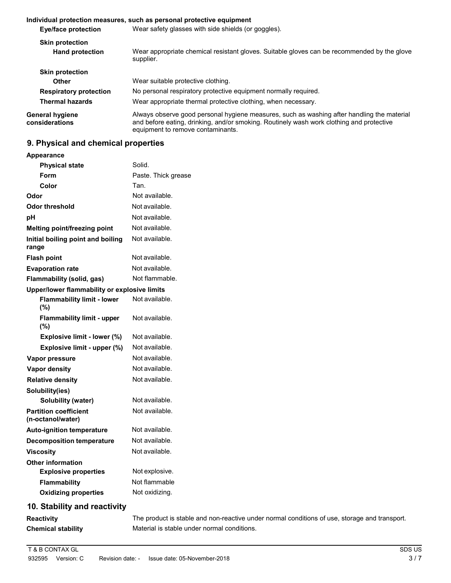#### **Individual protection measures, such as personal protective equipment Eye/face protection Skin protection Hand protection Skin protection Other Respiratory protection Thermal hazards General hygiene considerations** Wear safety glasses with side shields (or goggles). Wear appropriate chemical resistant gloves. Suitable gloves can be recommended by the glove supplier. Wear suitable protective clothing. No personal respiratory protective equipment normally required. Wear appropriate thermal protective clothing, when necessary. Always observe good personal hygiene measures, such as washing after handling the material and before eating, drinking, and/or smoking. Routinely wash work clothing and protective equipment to remove contaminants.

# **9. Physical and chemical properties**

**Appearance**

| Αρρσαι αποσ                                       |                     |
|---------------------------------------------------|---------------------|
| <b>Physical state</b>                             | Solid.              |
| <b>Form</b>                                       | Paste. Thick grease |
| Color                                             | Tan.                |
| Odor                                              | Not available.      |
| <b>Odor threshold</b>                             | Not available.      |
| рH                                                | Not available.      |
| Melting point/freezing point                      | Not available.      |
| Initial boiling point and boiling<br>range        | Not available.      |
| <b>Flash point</b>                                | Not available.      |
| <b>Evaporation rate</b>                           | Not available.      |
| Flammability (solid, gas)                         | Not flammable.      |
| Upper/lower flammability or explosive limits      |                     |
| <b>Flammability limit - lower</b><br>(%)          | Not available.      |
| <b>Flammability limit - upper</b><br>(%)          | Not available.      |
| Explosive limit - lower (%)                       | Not available.      |
| Explosive limit - upper (%)                       | Not available.      |
| Vapor pressure                                    | Not available.      |
| Vapor density                                     | Not available.      |
| <b>Relative density</b>                           | Not available.      |
| Solubility(ies)                                   |                     |
| <b>Solubility (water)</b>                         | Not available.      |
| <b>Partition coefficient</b><br>(n-octanol/water) | Not available.      |
| <b>Auto-ignition temperature</b>                  | Not available.      |
| <b>Decomposition temperature</b>                  | Not available.      |
| <b>Viscosity</b>                                  | Not available.      |
| <b>Other information</b>                          |                     |
| <b>Explosive properties</b>                       | Not explosive.      |
| <b>Flammability</b>                               | Not flammable       |
| <b>Oxidizing properties</b>                       | Not oxidizing.      |
| 10. Stability and reactivity                      |                     |
|                                                   |                     |

#### **Reactivity Chemical stability** The product is stable and non-reactive under normal conditions of use, storage and transport. Material is stable under normal conditions.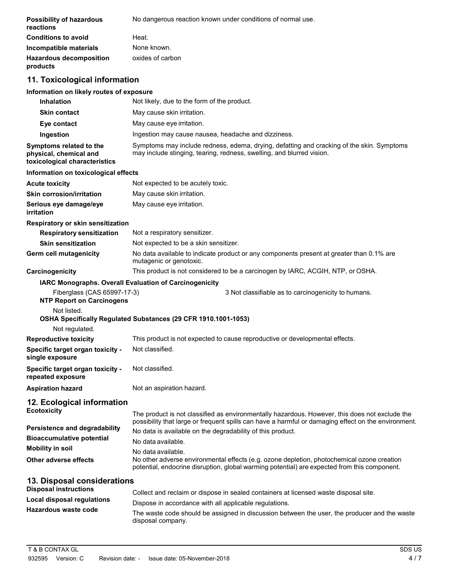| <b>Possibility of hazardous</b><br>reactions | No dangerous reaction known under conditions of normal use. |
|----------------------------------------------|-------------------------------------------------------------|
| <b>Conditions to avoid</b>                   | Heat.                                                       |
| Incompatible materials                       | None known.                                                 |
| <b>Hazardous decomposition</b><br>products   | oxides of carbon                                            |

# **11. Toxicological information**

# **Information on likely routes of exposure**

| <b>Inhalation</b>                                                                                                            | Not likely, due to the form of the product.                                                                                                                                                                                                                                                                 |  |  |
|------------------------------------------------------------------------------------------------------------------------------|-------------------------------------------------------------------------------------------------------------------------------------------------------------------------------------------------------------------------------------------------------------------------------------------------------------|--|--|
| <b>Skin contact</b>                                                                                                          | May cause skin irritation.                                                                                                                                                                                                                                                                                  |  |  |
| Eye contact                                                                                                                  | May cause eye irritation.                                                                                                                                                                                                                                                                                   |  |  |
| Ingestion                                                                                                                    | Ingestion may cause nausea, headache and dizziness.                                                                                                                                                                                                                                                         |  |  |
| Symptoms related to the<br>physical, chemical and<br>toxicological characteristics                                           | Symptoms may include redness, edema, drying, defatting and cracking of the skin. Symptoms<br>may include stinging, tearing, redness, swelling, and blurred vision.                                                                                                                                          |  |  |
| Information on toxicological effects                                                                                         |                                                                                                                                                                                                                                                                                                             |  |  |
| <b>Acute toxicity</b>                                                                                                        | Not expected to be acutely toxic.                                                                                                                                                                                                                                                                           |  |  |
| <b>Skin corrosion/irritation</b>                                                                                             | May cause skin irritation.                                                                                                                                                                                                                                                                                  |  |  |
| Serious eye damage/eye<br><b>irritation</b>                                                                                  | May cause eye irritation.                                                                                                                                                                                                                                                                                   |  |  |
| Respiratory or skin sensitization                                                                                            |                                                                                                                                                                                                                                                                                                             |  |  |
| <b>Respiratory sensitization</b>                                                                                             | Not a respiratory sensitizer.                                                                                                                                                                                                                                                                               |  |  |
| <b>Skin sensitization</b>                                                                                                    | Not expected to be a skin sensitizer.                                                                                                                                                                                                                                                                       |  |  |
| Germ cell mutagenicity                                                                                                       | No data available to indicate product or any components present at greater than 0.1% are<br>mutagenic or genotoxic.                                                                                                                                                                                         |  |  |
| Carcinogenicity                                                                                                              | This product is not considered to be a carcinogen by IARC, ACGIH, NTP, or OSHA.                                                                                                                                                                                                                             |  |  |
|                                                                                                                              | IARC Monographs. Overall Evaluation of Carcinogenicity                                                                                                                                                                                                                                                      |  |  |
| Fiberglass (CAS 65997-17-3)<br><b>NTP Report on Carcinogens</b>                                                              | 3 Not classifiable as to carcinogenicity to humans.                                                                                                                                                                                                                                                         |  |  |
| Not listed.                                                                                                                  | OSHA Specifically Regulated Substances (29 CFR 1910.1001-1053)                                                                                                                                                                                                                                              |  |  |
| Not regulated.                                                                                                               |                                                                                                                                                                                                                                                                                                             |  |  |
| <b>Reproductive toxicity</b>                                                                                                 | This product is not expected to cause reproductive or developmental effects.                                                                                                                                                                                                                                |  |  |
| Specific target organ toxicity -<br>single exposure                                                                          | Not classified.                                                                                                                                                                                                                                                                                             |  |  |
| Specific target organ toxicity -<br>repeated exposure                                                                        | Not classified.                                                                                                                                                                                                                                                                                             |  |  |
| <b>Aspiration hazard</b>                                                                                                     | Not an aspiration hazard.                                                                                                                                                                                                                                                                                   |  |  |
| 12. Ecological information<br><b>Ecotoxicity</b>                                                                             | The product is not classified as environmentally hazardous. However, this does not exclude the                                                                                                                                                                                                              |  |  |
| <b>Persistence and degradability</b><br><b>Bioaccumulative potential</b><br><b>Mobility in soil</b><br>Other adverse effects | possibility that large or frequent spills can have a harmful or damaging effect on the environment.<br>No data is available on the degradability of this product.<br>No data available.<br>No data available.<br>No other adverse environmental effects (e.g. ozone depletion, photochemical ozone creation |  |  |
|                                                                                                                              | potential, endocrine disruption, global warming potential) are expected from this component.                                                                                                                                                                                                                |  |  |
| 13. Disposal considerations                                                                                                  |                                                                                                                                                                                                                                                                                                             |  |  |
| <b>Disposal instructions</b>                                                                                                 | Collect and reclaim or dispose in sealed containers at licensed waste disposal site.                                                                                                                                                                                                                        |  |  |
| <b>Local disposal regulations</b>                                                                                            | Dispose in accordance with all applicable regulations.                                                                                                                                                                                                                                                      |  |  |
| Hazardous waste code                                                                                                         |                                                                                                                                                                                                                                                                                                             |  |  |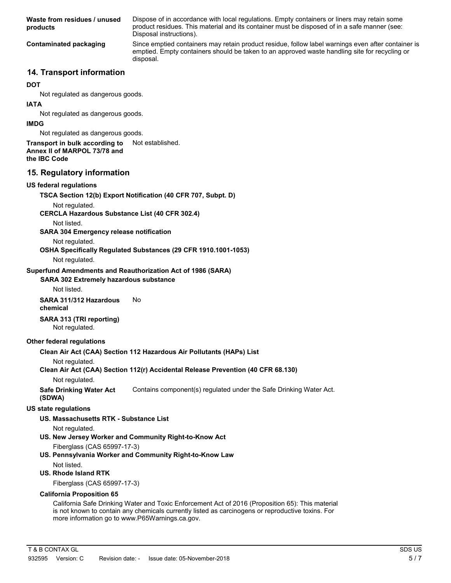| Waste from residues / unused<br>products                                                                                                                                                                                                          | Dispose of in accordance with local regulations. Empty containers or liners may retain some<br>product residues. This material and its container must be disposed of in a safe manner (see:<br>Disposal instructions). |        |  |  |
|---------------------------------------------------------------------------------------------------------------------------------------------------------------------------------------------------------------------------------------------------|------------------------------------------------------------------------------------------------------------------------------------------------------------------------------------------------------------------------|--------|--|--|
| Since emptied containers may retain product residue, follow label warnings even after container is<br><b>Contaminated packaging</b><br>emptied. Empty containers should be taken to an approved waste handling site for recycling or<br>disposal. |                                                                                                                                                                                                                        |        |  |  |
| 14. Transport information                                                                                                                                                                                                                         |                                                                                                                                                                                                                        |        |  |  |
| <b>DOT</b>                                                                                                                                                                                                                                        |                                                                                                                                                                                                                        |        |  |  |
| Not regulated as dangerous goods.                                                                                                                                                                                                                 |                                                                                                                                                                                                                        |        |  |  |
| <b>IATA</b><br>Not regulated as dangerous goods.                                                                                                                                                                                                  |                                                                                                                                                                                                                        |        |  |  |
| <b>IMDG</b>                                                                                                                                                                                                                                       |                                                                                                                                                                                                                        |        |  |  |
| Not regulated as dangerous goods.                                                                                                                                                                                                                 |                                                                                                                                                                                                                        |        |  |  |
| Transport in bulk according to                                                                                                                                                                                                                    | Not established.                                                                                                                                                                                                       |        |  |  |
| Annex II of MARPOL 73/78 and<br>the IBC Code                                                                                                                                                                                                      |                                                                                                                                                                                                                        |        |  |  |
| 15. Regulatory information                                                                                                                                                                                                                        |                                                                                                                                                                                                                        |        |  |  |
| <b>US federal regulations</b>                                                                                                                                                                                                                     |                                                                                                                                                                                                                        |        |  |  |
|                                                                                                                                                                                                                                                   | TSCA Section 12(b) Export Notification (40 CFR 707, Subpt. D)                                                                                                                                                          |        |  |  |
| Not regulated.<br><b>CERCLA Hazardous Substance List (40 CFR 302.4)</b>                                                                                                                                                                           |                                                                                                                                                                                                                        |        |  |  |
| Not listed.<br><b>SARA 304 Emergency release notification</b>                                                                                                                                                                                     |                                                                                                                                                                                                                        |        |  |  |
| Not regulated.                                                                                                                                                                                                                                    |                                                                                                                                                                                                                        |        |  |  |
|                                                                                                                                                                                                                                                   | OSHA Specifically Regulated Substances (29 CFR 1910.1001-1053)                                                                                                                                                         |        |  |  |
| Not regulated.                                                                                                                                                                                                                                    |                                                                                                                                                                                                                        |        |  |  |
|                                                                                                                                                                                                                                                   | Superfund Amendments and Reauthorization Act of 1986 (SARA)                                                                                                                                                            |        |  |  |
| <b>SARA 302 Extremely hazardous substance</b><br>Not listed.                                                                                                                                                                                      |                                                                                                                                                                                                                        |        |  |  |
| SARA 311/312 Hazardous<br>chemical                                                                                                                                                                                                                | No                                                                                                                                                                                                                     |        |  |  |
| SARA 313 (TRI reporting)<br>Not regulated.                                                                                                                                                                                                        |                                                                                                                                                                                                                        |        |  |  |
| <b>Other federal regulations</b>                                                                                                                                                                                                                  |                                                                                                                                                                                                                        |        |  |  |
|                                                                                                                                                                                                                                                   | Clean Air Act (CAA) Section 112 Hazardous Air Pollutants (HAPs) List                                                                                                                                                   |        |  |  |
| Not regulated.<br>Not regulated.                                                                                                                                                                                                                  | Clean Air Act (CAA) Section 112(r) Accidental Release Prevention (40 CFR 68.130)                                                                                                                                       |        |  |  |
| <b>Safe Drinking Water Act</b><br>(SDWA)                                                                                                                                                                                                          | Contains component(s) regulated under the Safe Drinking Water Act.                                                                                                                                                     |        |  |  |
| <b>US state regulations</b>                                                                                                                                                                                                                       |                                                                                                                                                                                                                        |        |  |  |
| US. Massachusetts RTK - Substance List                                                                                                                                                                                                            |                                                                                                                                                                                                                        |        |  |  |
| Not regulated.                                                                                                                                                                                                                                    |                                                                                                                                                                                                                        |        |  |  |
|                                                                                                                                                                                                                                                   | US. New Jersey Worker and Community Right-to-Know Act                                                                                                                                                                  |        |  |  |
| Fiberglass (CAS 65997-17-3)                                                                                                                                                                                                                       | US. Pennsylvania Worker and Community Right-to-Know Law                                                                                                                                                                |        |  |  |
| Not listed.                                                                                                                                                                                                                                       |                                                                                                                                                                                                                        |        |  |  |
| US. Rhode Island RTK                                                                                                                                                                                                                              |                                                                                                                                                                                                                        |        |  |  |
| Fiberglass (CAS 65997-17-3)                                                                                                                                                                                                                       |                                                                                                                                                                                                                        |        |  |  |
| <b>California Proposition 65</b>                                                                                                                                                                                                                  |                                                                                                                                                                                                                        |        |  |  |
| more information go to www.P65Warnings.ca.gov.                                                                                                                                                                                                    | California Safe Drinking Water and Toxic Enforcement Act of 2016 (Proposition 65): This material<br>is not known to contain any chemicals currently listed as carcinogens or reproductive toxins. For                  |        |  |  |
|                                                                                                                                                                                                                                                   |                                                                                                                                                                                                                        |        |  |  |
| T & B CONTAX GL                                                                                                                                                                                                                                   |                                                                                                                                                                                                                        | SDS US |  |  |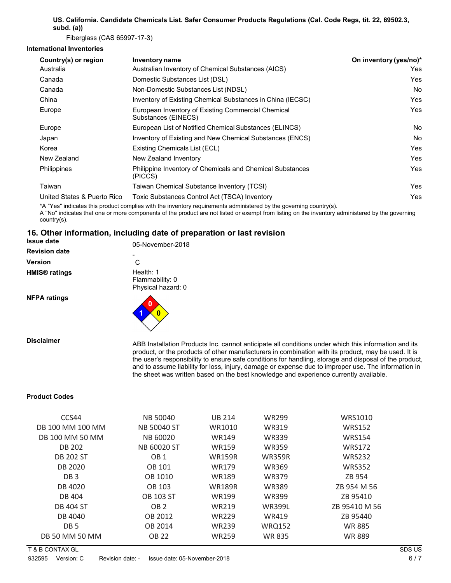# **US. California. Candidate Chemicals List. Safer Consumer Products Regulations (Cal. Code Regs, tit. 22, 69502.3, subd. (a))**

Fiberglass (CAS 65997-17-3)

### **International Inventories**

| Country(s) or region        | Inventory name                                                            | On inventory (yes/no)* |
|-----------------------------|---------------------------------------------------------------------------|------------------------|
| Australia                   | Australian Inventory of Chemical Substances (AICS)                        | Yes                    |
| Canada                      | Domestic Substances List (DSL)                                            | Yes                    |
| Canada                      | Non-Domestic Substances List (NDSL)                                       | No.                    |
| China                       | Inventory of Existing Chemical Substances in China (IECSC)                | Yes                    |
| Europe                      | European Inventory of Existing Commercial Chemical<br>Substances (EINECS) | Yes                    |
| Europe                      | European List of Notified Chemical Substances (ELINCS)                    | <b>No</b>              |
| Japan                       | Inventory of Existing and New Chemical Substances (ENCS)                  | No.                    |
| Korea                       | Existing Chemicals List (ECL)                                             | Yes                    |
| New Zealand                 | New Zealand Inventory                                                     | Yes                    |
| Philippines                 | Philippine Inventory of Chemicals and Chemical Substances<br>(PICCS)      | Yes                    |
| Taiwan                      | Taiwan Chemical Substance Inventory (TCSI)                                | Yes                    |
| United States & Puerto Rico | Toxic Substances Control Act (TSCA) Inventory                             | Yes                    |
|                             |                                                                           |                        |

\*A "Yes" indicates this product complies with the inventory requirements administered by the governing country(s).

A "No" indicates that one or more components of the product are not listed or exempt from listing on the inventory administered by the governing country(s).

#### **16. Other information, including date of preparation or last revision Issue date**

| שוט שטכנו                       | 05-November-2018                                   |
|---------------------------------|----------------------------------------------------|
| <b>Revision date</b>            |                                                    |
| Version                         | C                                                  |
| <b>HMIS<sup>®</sup></b> ratings | Health: 1<br>Flammability: 0<br>Physical hazard: 0 |
| <b>NFPA ratings</b>             | 0                                                  |

**Disclaimer** ABB Installation Products Inc. cannot anticipate all conditions under which this information and its product, or the products of other manufacturers in combination with its product, may be used. It is the user's responsibility to ensure safe conditions for handling, storage and disposal of the product, and to assume liability for loss, injury, damage or expense due to improper use. The information in the sheet was written based on the best knowledge and experience currently available.

### **Product Codes**

| CCS44            | <b>NB 50040</b>  | <b>UB 214</b> | <b>WR299</b>  | WRS1010       |
|------------------|------------------|---------------|---------------|---------------|
| DB 100 MM 100 MM | NB 50040 ST      | WR1010        | <b>WR319</b>  | <b>WRS152</b> |
| DB 100 MM 50 MM  | <b>NB 60020</b>  | <b>WR149</b>  | <b>WR339</b>  | <b>WRS154</b> |
| <b>DB 202</b>    | NB 60020 ST      | <b>WR159</b>  | <b>WR359</b>  | <b>WRS172</b> |
| <b>DB 202 ST</b> | OB <sub>1</sub>  | <b>WR159R</b> | <b>WR359R</b> | <b>WRS232</b> |
| DB 2020          | OB 101           | <b>WR179</b>  | <b>WR369</b>  | <b>WRS352</b> |
| DB <sub>3</sub>  | OB 1010          | <b>WR189</b>  | <b>WR379</b>  | ZB 954        |
| DB 4020          | OB 103           | <b>WR189R</b> | <b>WR389</b>  | ZB 954 M 56   |
| DB 404           | <b>OB 103 ST</b> | <b>WR199</b>  | <b>WR399</b>  | ZB 95410      |
| <b>DB 404 ST</b> | OB <sub>2</sub>  | <b>WR219</b>  | <b>WR399L</b> | ZB 95410 M 56 |
| DB 4040          | OB 2012          | <b>WR229</b>  | <b>WR419</b>  | ZB 95440      |
| DB <sub>5</sub>  | OB 2014          | <b>WR239</b>  | <b>WRQ152</b> | <b>WR885</b>  |
| DB 50 MM 50 MM   | <b>OB 22</b>     | <b>WR259</b>  | <b>WR 835</b> | <b>WR889</b>  |
|                  |                  |               |               |               |